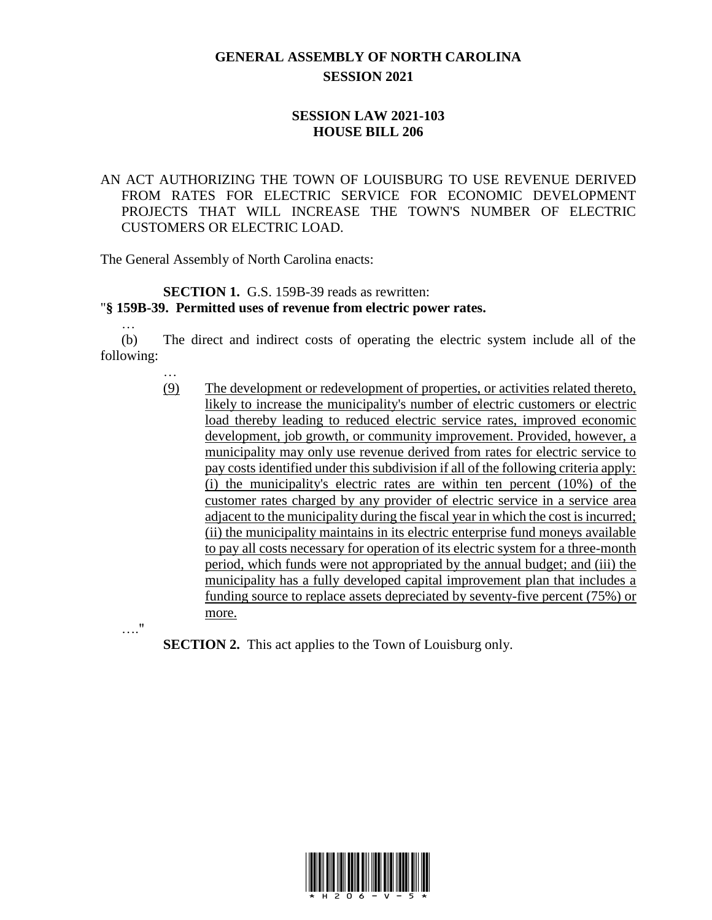# **GENERAL ASSEMBLY OF NORTH CAROLINA SESSION 2021**

## **SESSION LAW 2021-103 HOUSE BILL 206**

## AN ACT AUTHORIZING THE TOWN OF LOUISBURG TO USE REVENUE DERIVED FROM RATES FOR ELECTRIC SERVICE FOR ECONOMIC DEVELOPMENT PROJECTS THAT WILL INCREASE THE TOWN'S NUMBER OF ELECTRIC CUSTOMERS OR ELECTRIC LOAD.

The General Assembly of North Carolina enacts:

…

…."

…

#### **SECTION 1.** G.S. 159B-39 reads as rewritten:

#### "**§ 159B-39. Permitted uses of revenue from electric power rates.**

(b) The direct and indirect costs of operating the electric system include all of the following:

> (9) The development or redevelopment of properties, or activities related thereto, likely to increase the municipality's number of electric customers or electric load thereby leading to reduced electric service rates, improved economic development, job growth, or community improvement. Provided, however, a municipality may only use revenue derived from rates for electric service to pay costs identified under this subdivision if all of the following criteria apply: (i) the municipality's electric rates are within ten percent (10%) of the customer rates charged by any provider of electric service in a service area adjacent to the municipality during the fiscal year in which the cost is incurred; (ii) the municipality maintains in its electric enterprise fund moneys available to pay all costs necessary for operation of its electric system for a three-month period, which funds were not appropriated by the annual budget; and (iii) the municipality has a fully developed capital improvement plan that includes a funding source to replace assets depreciated by seventy-five percent (75%) or more.

**SECTION 2.** This act applies to the Town of Louisburg only.